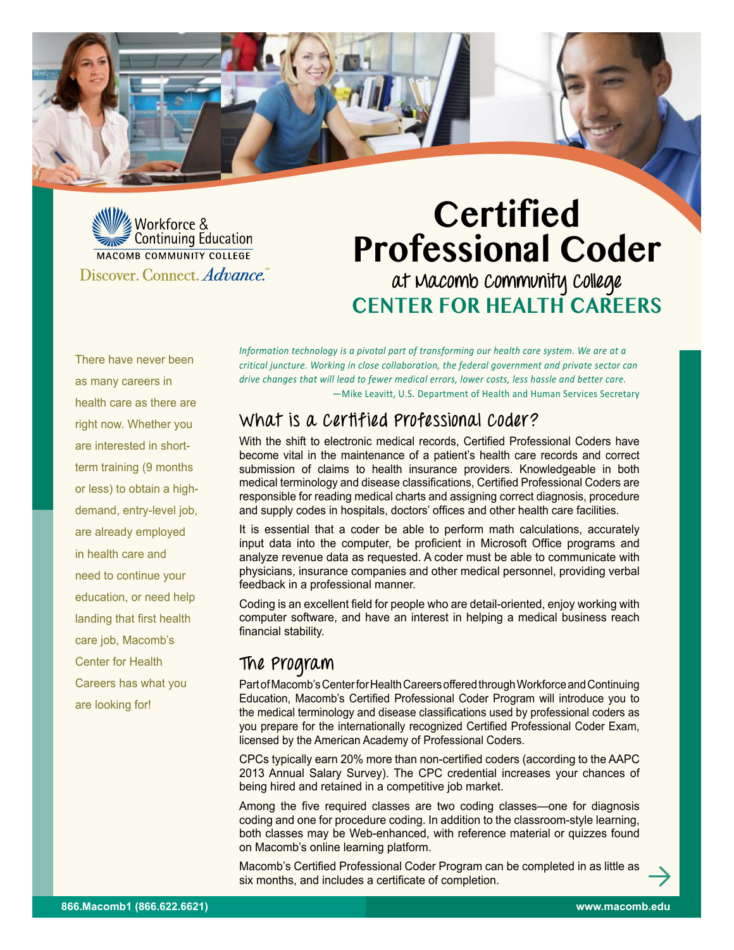

# **Certified Professional Coder at Macomb Community College Center for Health Careers**

There have never been as many careers in health care as there are right now. Whether you are interested in shortterm training (9 months or less) to obtain a highdemand, entry-level job, are already employed in health care and need to continue your education, or need help landing that first health care job, Macomb's Center for Health Careers has what you are looking for!

*Information technology is a pivotal part of transforming our health care system. We are at a critical juncture. Working in close collaboration, the federal government and private sector can drive changes that will lead to fewer medical errors, lower costs, less hassle and better care.*  —Mike Leavitt, U.S. Department of Health and Human Services Secretary

### **What is a Certified Professional Coder?**

With the shift to electronic medical records, Certified Professional Coders have become vital in the maintenance of a patient's health care records and correct submission of claims to health insurance providers. Knowledgeable in both medical terminology and disease classifications, Certified Professional Coders are responsible for reading medical charts and assigning correct diagnosis, procedure and supply codes in hospitals, doctors' offices and other health care facilities.

It is essential that a coder be able to perform math calculations, accurately input data into the computer, be proficient in Microsoft Office programs and analyze revenue data as requested. A coder must be able to communicate with physicians, insurance companies and other medical personnel, providing verbal feedback in a professional manner.

Coding is an excellent field for people who are detail-oriented, enjoy working with computer software, and have an interest in helping a medical business reach financial stability.

### **The Program**

Part of Macomb's Center for Health Careers offered through Workforce and Continuing Education, Macomb's Certified Professional Coder Program will introduce you to the medical terminology and disease classifications used by professional coders as you prepare for the internationally recognized Certified Professional Coder Exam, licensed by the American Academy of Professional Coders.

CPCs typically earn 20% more than non-certified coders (according to the AAPC 2013 Annual Salary Survey). The CPC credential increases your chances of being hired and retained in a competitive job market.

Among the five required classes are two coding classes—one for diagnosis coding and one for procedure coding. In addition to the classroom-style learning, both classes may be Web-enhanced, with reference material or quizzes found on Macomb's online learning platform.

Macomb's Certified Professional Coder Program can be completed in as little as six months, and includes a certificate of completion.